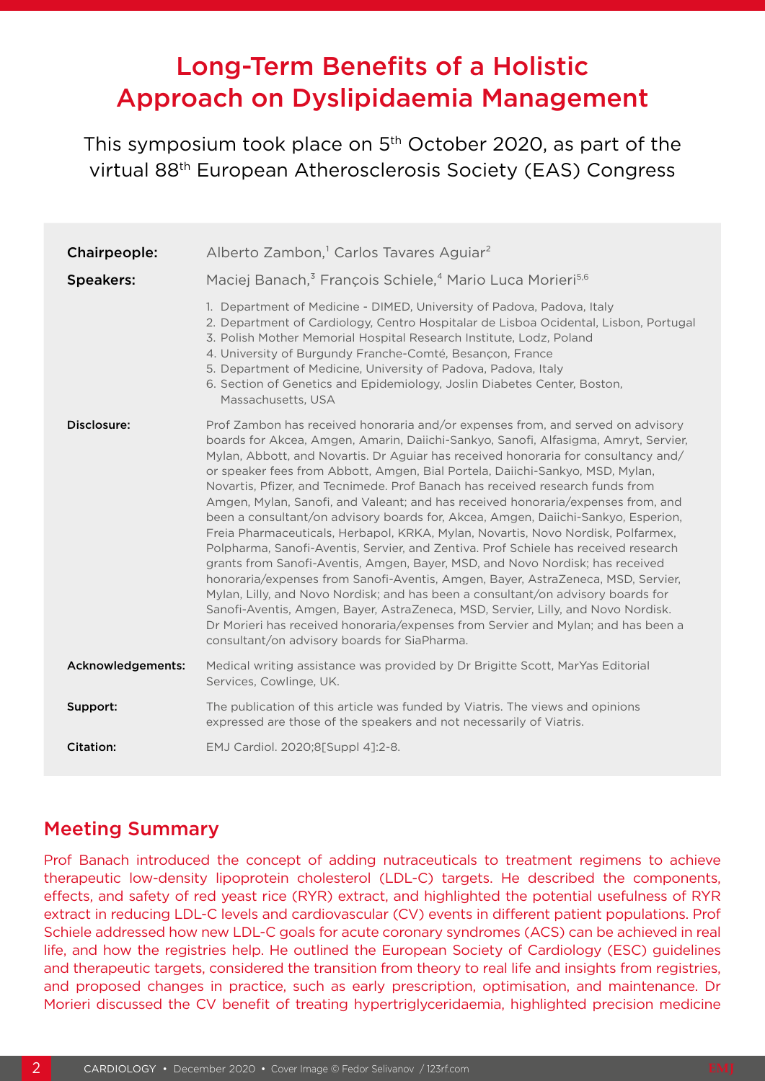# Long-Term Benefits of a Holistic Approach on Dyslipidaemia Management

This symposium took place on 5<sup>th</sup> October 2020, as part of the virtual 88th European Atherosclerosis Society (EAS) Congress

| Chairpeople:      | Alberto Zambon, <sup>1</sup> Carlos Tavares Aguiar <sup>2</sup>                                                                                                                                                                                                                                                                                                                                                                                                                                                                                                                                                                                                                                                                                                                                                                                                                                                                                                                                                                                                                                                                                                                                                                                                       |
|-------------------|-----------------------------------------------------------------------------------------------------------------------------------------------------------------------------------------------------------------------------------------------------------------------------------------------------------------------------------------------------------------------------------------------------------------------------------------------------------------------------------------------------------------------------------------------------------------------------------------------------------------------------------------------------------------------------------------------------------------------------------------------------------------------------------------------------------------------------------------------------------------------------------------------------------------------------------------------------------------------------------------------------------------------------------------------------------------------------------------------------------------------------------------------------------------------------------------------------------------------------------------------------------------------|
| <b>Speakers:</b>  | Maciej Banach, <sup>3</sup> François Schiele, <sup>4</sup> Mario Luca Morieri <sup>5,6</sup>                                                                                                                                                                                                                                                                                                                                                                                                                                                                                                                                                                                                                                                                                                                                                                                                                                                                                                                                                                                                                                                                                                                                                                          |
|                   | 1. Department of Medicine - DIMED, University of Padova, Padova, Italy<br>2. Department of Cardiology, Centro Hospitalar de Lisboa Ocidental, Lisbon, Portugal<br>3. Polish Mother Memorial Hospital Research Institute, Lodz, Poland<br>4. University of Burgundy Franche-Comté, Besançon, France<br>5. Department of Medicine, University of Padova, Padova, Italy<br>6. Section of Genetics and Epidemiology, Joslin Diabetes Center, Boston,<br>Massachusetts, USA                                                                                                                                                                                                                                                                                                                                                                                                                                                                                                                                                                                                                                                                                                                                                                                                |
| Disclosure:       | Prof Zambon has received honoraria and/or expenses from, and served on advisory<br>boards for Akcea, Amgen, Amarin, Daiichi-Sankyo, Sanofi, Alfasigma, Amryt, Servier,<br>Mylan, Abbott, and Novartis. Dr Aguiar has received honoraria for consultancy and/<br>or speaker fees from Abbott, Amgen, Bial Portela, Daiichi-Sankyo, MSD, Mylan,<br>Novartis, Pfizer, and Tecnimede. Prof Banach has received research funds from<br>Amgen, Mylan, Sanofi, and Valeant; and has received honoraria/expenses from, and<br>been a consultant/on advisory boards for, Akcea, Amgen, Daiichi-Sankyo, Esperion,<br>Freia Pharmaceuticals, Herbapol, KRKA, Mylan, Novartis, Novo Nordisk, Polfarmex,<br>Polpharma, Sanofi-Aventis, Servier, and Zentiva. Prof Schiele has received research<br>grants from Sanofi-Aventis, Amgen, Bayer, MSD, and Novo Nordisk; has received<br>honoraria/expenses from Sanofi-Aventis, Amgen, Bayer, AstraZeneca, MSD, Servier,<br>Mylan, Lilly, and Novo Nordisk; and has been a consultant/on advisory boards for<br>Sanofi-Aventis, Amgen, Bayer, AstraZeneca, MSD, Servier, Lilly, and Novo Nordisk.<br>Dr Morieri has received honoraria/expenses from Servier and Mylan; and has been a<br>consultant/on advisory boards for SiaPharma. |
| Acknowledgements: | Medical writing assistance was provided by Dr Brigitte Scott, MarYas Editorial<br>Services, Cowlinge, UK.                                                                                                                                                                                                                                                                                                                                                                                                                                                                                                                                                                                                                                                                                                                                                                                                                                                                                                                                                                                                                                                                                                                                                             |
| Support:          | The publication of this article was funded by Viatris. The views and opinions<br>expressed are those of the speakers and not necessarily of Viatris.                                                                                                                                                                                                                                                                                                                                                                                                                                                                                                                                                                                                                                                                                                                                                                                                                                                                                                                                                                                                                                                                                                                  |
| <b>Citation:</b>  | EMJ Cardiol. 2020;8[Suppl 4]:2-8.                                                                                                                                                                                                                                                                                                                                                                                                                                                                                                                                                                                                                                                                                                                                                                                                                                                                                                                                                                                                                                                                                                                                                                                                                                     |

### Meeting Summary

Prof Banach introduced the concept of adding nutraceuticals to treatment regimens to achieve therapeutic low-density lipoprotein cholesterol (LDL-C) targets. He described the components, effects, and safety of red yeast rice (RYR) extract, and highlighted the potential usefulness of RYR extract in reducing LDL-C levels and cardiovascular (CV) events in different patient populations. Prof Schiele addressed how new LDL-C goals for acute coronary syndromes (ACS) can be achieved in real life, and how the registries help. He outlined the European Society of Cardiology (ESC) guidelines and therapeutic targets, considered the transition from theory to real life and insights from registries, and proposed changes in practice, such as early prescription, optimisation, and maintenance. Dr Morieri discussed the CV benefit of treating hypertriglyceridaemia, highlighted precision medicine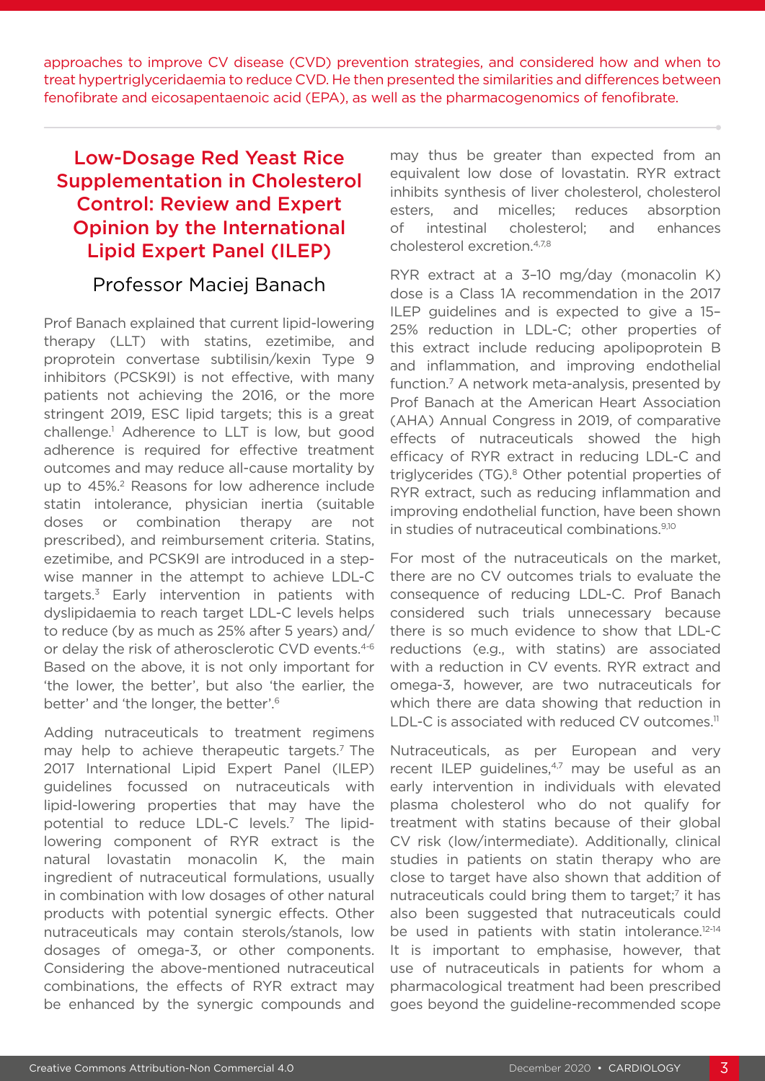approaches to improve CV disease (CVD) prevention strategies, and considered how and when to treat hypertriglyceridaemia to reduce CVD. He then presented the similarities and differences between fenofibrate and eicosapentaenoic acid (EPA), as well as the pharmacogenomics of fenofibrate.

# Low-Dosage Red Yeast Rice Supplementation in Cholesterol Control: Review and Expert Opinion by the International Lipid Expert Panel (ILEP)

#### Professor Maciej Banach

Prof Banach explained that current lipid-lowering therapy (LLT) with statins, ezetimibe, and proprotein convertase subtilisin/kexin Type 9 inhibitors (PCSK9I) is not effective, with many patients not achieving the 2016, or the more stringent 2019, ESC lipid targets; this is a great challenge.1 Adherence to LLT is low, but good adherence is required for effective treatment outcomes and may reduce all-cause mortality by up to 45%.2 Reasons for low adherence include statin intolerance, physician inertia (suitable doses or combination therapy are not prescribed), and reimbursement criteria. Statins, ezetimibe, and PCSK9I are introduced in a stepwise manner in the attempt to achieve LDL-C targets.3 Early intervention in patients with dyslipidaemia to reach target LDL-C levels helps to reduce (by as much as 25% after 5 years) and/ or delay the risk of atherosclerotic CVD events.<sup>4-6</sup> Based on the above, it is not only important for 'the lower, the better', but also 'the earlier, the better' and 'the longer, the better'.6

Adding nutraceuticals to treatment regimens may help to achieve therapeutic targets.<sup>7</sup> The 2017 International Lipid Expert Panel (ILEP) guidelines focussed on nutraceuticals with lipid-lowering properties that may have the potential to reduce LDL-C levels.7 The lipidlowering component of RYR extract is the natural lovastatin monacolin K, the main ingredient of nutraceutical formulations, usually in combination with low dosages of other natural products with potential synergic effects. Other nutraceuticals may contain sterols/stanols, low dosages of omega-3, or other components. Considering the above-mentioned nutraceutical combinations, the effects of RYR extract may be enhanced by the synergic compounds and

may thus be greater than expected from an equivalent low dose of lovastatin. RYR extract inhibits synthesis of liver cholesterol, cholesterol esters, and micelles; reduces absorption of intestinal cholesterol; and enhances cholesterol excretion.4,7,8

RYR extract at a 3–10 mg/day (monacolin K) dose is a Class 1A recommendation in the 2017 ILEP guidelines and is expected to give a 15– 25% reduction in LDL-C; other properties of this extract include reducing apolipoprotein B and inflammation, and improving endothelial function.7 A network meta-analysis, presented by Prof Banach at the American Heart Association (AHA) Annual Congress in 2019, of comparative effects of nutraceuticals showed the high efficacy of RYR extract in reducing LDL-C and triglycerides (TG).8 Other potential properties of RYR extract, such as reducing inflammation and improving endothelial function, have been shown in studies of nutraceutical combinations.<sup>9,10</sup>

For most of the nutraceuticals on the market, there are no CV outcomes trials to evaluate the consequence of reducing LDL-C. Prof Banach considered such trials unnecessary because there is so much evidence to show that LDL-C reductions (e.g., with statins) are associated with a reduction in CV events. RYR extract and omega-3, however, are two nutraceuticals for which there are data showing that reduction in LDL-C is associated with reduced CV outcomes.<sup>11</sup>

Nutraceuticals, as per European and very recent ILEP guidelines,<sup>4,7</sup> may be useful as an early intervention in individuals with elevated plasma cholesterol who do not qualify for treatment with statins because of their global CV risk (low/intermediate). Additionally, clinical studies in patients on statin therapy who are close to target have also shown that addition of nutraceuticals could bring them to target;<sup>7</sup> it has also been suggested that nutraceuticals could be used in patients with statin intolerance.<sup>12-14</sup> It is important to emphasise, however, that use of nutraceuticals in patients for whom a pharmacological treatment had been prescribed goes beyond the guideline-recommended scope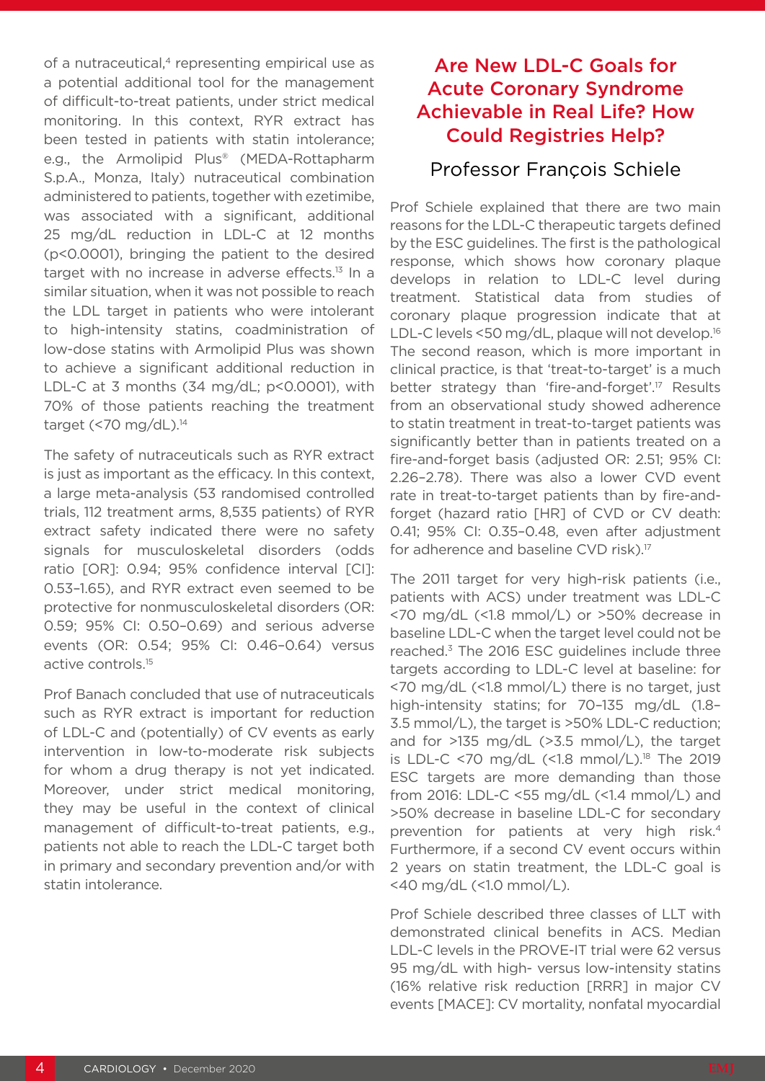of a nutraceutical, $4$  representing empirical use as a potential additional tool for the management of difficult-to-treat patients, under strict medical monitoring. In this context, RYR extract has been tested in patients with statin intolerance; e.g., the Armolipid Plus® (MEDA-Rottapharm S.p.A., Monza, Italy) nutraceutical combination administered to patients, together with ezetimibe, was associated with a significant, additional 25 mg/dL reduction in LDL-C at 12 months (p<0.0001), bringing the patient to the desired target with no increase in adverse effects.<sup>13</sup> In a similar situation, when it was not possible to reach the LDL target in patients who were intolerant to high-intensity statins, coadministration of low-dose statins with Armolipid Plus was shown to achieve a significant additional reduction in LDL-C at 3 months (34 mg/dL; p<0.0001), with 70% of those patients reaching the treatment target (<70 mg/dL).<sup>14</sup>

The safety of nutraceuticals such as RYR extract is just as important as the efficacy. In this context, a large meta-analysis (53 randomised controlled trials, 112 treatment arms, 8,535 patients) of RYR extract safety indicated there were no safety signals for musculoskeletal disorders (odds ratio [OR]: 0.94; 95% confidence interval [CI]: 0.53–1.65), and RYR extract even seemed to be protective for nonmusculoskeletal disorders (OR: 0.59; 95% CI: 0.50–0.69) and serious adverse events (OR: 0.54; 95% CI: 0.46–0.64) versus active controls.15

Prof Banach concluded that use of nutraceuticals such as RYR extract is important for reduction of LDL-C and (potentially) of CV events as early intervention in low-to-moderate risk subjects for whom a drug therapy is not yet indicated. Moreover, under strict medical monitoring, they may be useful in the context of clinical management of difficult-to-treat patients, e.g., patients not able to reach the LDL-C target both in primary and secondary prevention and/or with statin intolerance.

# Are New LDL-C Goals for Acute Coronary Syndrome Achievable in Real Life? How Could Registries Help?

#### Professor François Schiele

Prof Schiele explained that there are two main reasons for the LDL-C therapeutic targets defined by the ESC guidelines. The first is the pathological response, which shows how coronary plaque develops in relation to LDL-C level during treatment. Statistical data from studies of coronary plaque progression indicate that at LDL-C levels <50 mg/dL, plaque will not develop.<sup>16</sup> The second reason, which is more important in clinical practice, is that 'treat-to-target' is a much better strategy than 'fire-and-forget'.17 Results from an observational study showed adherence to statin treatment in treat-to-target patients was significantly better than in patients treated on a fire-and-forget basis (adjusted OR: 2.51; 95% CI: 2.26–2.78). There was also a lower CVD event rate in treat-to-target patients than by fire-andforget (hazard ratio [HR] of CVD or CV death: 0.41; 95% CI: 0.35–0.48, even after adjustment for adherence and baseline CVD risk).<sup>17</sup>

The 2011 target for very high-risk patients (i.e., patients with ACS) under treatment was LDL-C <70 mg/dL (<1.8 mmol/L) or >50% decrease in baseline LDL-C when the target level could not be reached.3 The 2016 ESC guidelines include three targets according to LDL-C level at baseline: for <70 mg/dL (<1.8 mmol/L) there is no target, just high-intensity statins; for 70–135 mg/dL (1.8– 3.5 mmol/L), the target is >50% LDL-C reduction; and for >135 mg/dL (>3.5 mmol/L), the target is LDL-C <70  $mg/dL$  (<1.8  $mmol/L$ ).<sup>18</sup> The 2019 ESC targets are more demanding than those from 2016: LDL-C <55 mg/dL (<1.4 mmol/L) and >50% decrease in baseline LDL-C for secondary prevention for patients at very high risk.4 Furthermore, if a second CV event occurs within 2 years on statin treatment, the LDL-C goal is <40 mg/dL (<1.0 mmol/L).

Prof Schiele described three classes of LLT with demonstrated clinical benefits in ACS. Median LDL-C levels in the PROVE-IT trial were 62 versus 95 mg/dL with high- versus low-intensity statins (16% relative risk reduction [RRR] in major CV events [MACE]: CV mortality, nonfatal myocardial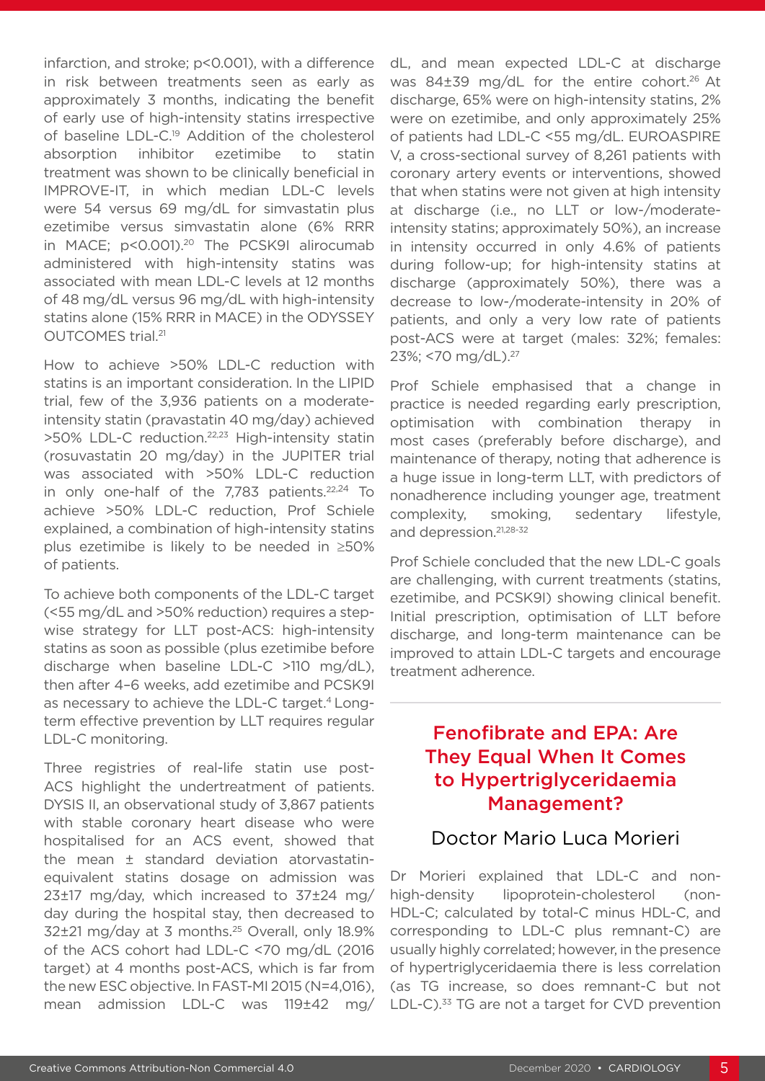infarction, and stroke; p<0.001), with a difference in risk between treatments seen as early as approximately 3 months, indicating the benefit of early use of high-intensity statins irrespective of baseline LDL-C.19 Addition of the cholesterol absorption inhibitor ezetimibe to statin treatment was shown to be clinically beneficial in IMPROVE-IT, in which median LDL-C levels were 54 versus 69 mg/dL for simvastatin plus ezetimibe versus simvastatin alone (6% RRR in MACE; p<0.001).<sup>20</sup> The PCSK9I alirocumab administered with high-intensity statins was associated with mean LDL-C levels at 12 months of 48 mg/dL versus 96 mg/dL with high-intensity statins alone (15% RRR in MACE) in the ODYSSEY OUTCOMES trial.21

How to achieve >50% LDL-C reduction with statins is an important consideration. In the LIPID trial, few of the 3,936 patients on a moderateintensity statin (pravastatin 40 mg/day) achieved >50% LDL-C reduction.22,23 High-intensity statin (rosuvastatin 20 mg/day) in the JUPITER trial was associated with >50% LDL-C reduction in only one-half of the  $7,783$  patients.<sup>22,24</sup> To achieve >50% LDL-C reduction, Prof Schiele explained, a combination of high-intensity statins plus ezetimibe is likely to be needed in ≥50% of patients.

To achieve both components of the LDL-C target (<55 mg/dL and >50% reduction) requires a stepwise strategy for LLT post-ACS: high-intensity statins as soon as possible (plus ezetimibe before discharge when baseline LDL-C >110 mg/dL), then after 4–6 weeks, add ezetimibe and PCSK9I as necessary to achieve the LDL-C target.<sup>4</sup> Longterm effective prevention by LLT requires regular LDL-C monitoring.

Three registries of real-life statin use post-ACS highlight the undertreatment of patients. DYSIS II, an observational study of 3,867 patients with stable coronary heart disease who were hospitalised for an ACS event, showed that the mean ± standard deviation atorvastatinequivalent statins dosage on admission was 23±17 mg/day, which increased to 37±24 mg/ day during the hospital stay, then decreased to 32±21 mg/day at 3 months. 25 Overall, only 18.9% of the ACS cohort had LDL-C <70 mg/dL (2016 target) at 4 months post-ACS, which is far from the new ESC objective. In FAST-MI 2015 (N=4,016), mean admission LDL-C was 119±42 mg/

dL, and mean expected LDL-C at discharge was 84±39 mg/dL for the entire cohort.<sup>26</sup> At discharge, 65% were on high-intensity statins, 2% were on ezetimibe, and only approximately 25% of patients had LDL-C <55 mg/dL. EUROASPIRE V, a cross-sectional survey of 8,261 patients with coronary artery events or interventions, showed that when statins were not given at high intensity at discharge (i.e., no LLT or low-/moderateintensity statins; approximately 50%), an increase in intensity occurred in only 4.6% of patients during follow-up; for high-intensity statins at discharge (approximately 50%), there was a decrease to low-/moderate-intensity in 20% of patients, and only a very low rate of patients post-ACS were at target (males: 32%; females: 23%; <70 mg/dL).27

Prof Schiele emphasised that a change in practice is needed regarding early prescription, optimisation with combination therapy in most cases (preferably before discharge), and maintenance of therapy, noting that adherence is a huge issue in long-term LLT, with predictors of nonadherence including younger age, treatment complexity, smoking, sedentary lifestyle, and depression.21,28-32

Prof Schiele concluded that the new LDL-C goals are challenging, with current treatments (statins, ezetimibe, and PCSK9I) showing clinical benefit. Initial prescription, optimisation of LLT before discharge, and long-term maintenance can be improved to attain LDL-C targets and encourage treatment adherence.

# Fenofibrate and EPA: Are They Equal When It Comes to Hypertriglyceridaemia Management?

#### Doctor Mario Luca Morieri

Dr Morieri explained that LDL-C and nonhigh-density lipoprotein-cholesterol (non-HDL-C; calculated by total-C minus HDL-C, and corresponding to LDL-C plus remnant-C) are usually highly correlated; however, in the presence of hypertriglyceridaemia there is less correlation (as TG increase, so does remnant-C but not LDL-C).<sup>33</sup> TG are not a target for CVD prevention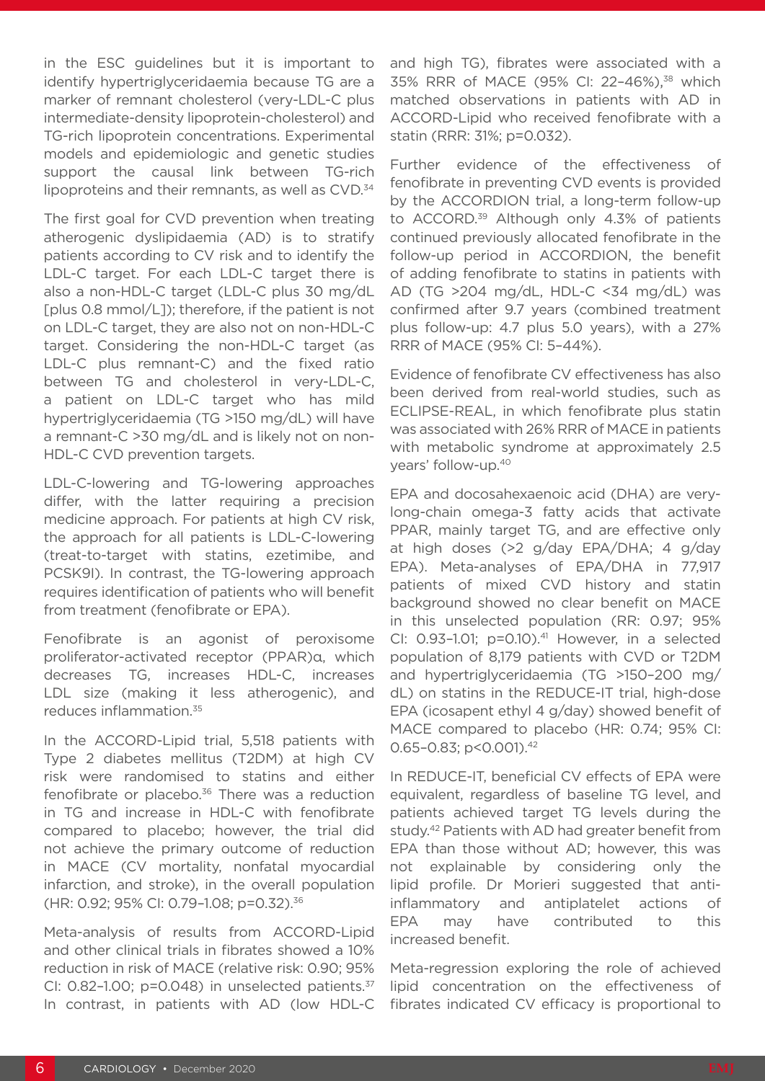in the ESC guidelines but it is important to identify hypertriglyceridaemia because TG are a marker of remnant cholesterol (very-LDL-C plus intermediate-density lipoprotein-cholesterol) and TG-rich lipoprotein concentrations. Experimental models and epidemiologic and genetic studies support the causal link between TG-rich lipoproteins and their remnants, as well as CVD.<sup>34</sup>

The first goal for CVD prevention when treating atherogenic dyslipidaemia (AD) is to stratify patients according to CV risk and to identify the LDL-C target. For each LDL-C target there is also a non-HDL-C target (LDL-C plus 30 mg/dL [plus 0.8 mmol/L]); therefore, if the patient is not on LDL-C target, they are also not on non-HDL-C target. Considering the non-HDL-C target (as LDL-C plus remnant-C) and the fixed ratio between TG and cholesterol in very-LDL-C, a patient on LDL-C target who has mild hypertriglyceridaemia (TG >150 mg/dL) will have a remnant-C >30 mg/dL and is likely not on non-HDL-C CVD prevention targets.

LDL-C-lowering and TG-lowering approaches differ, with the latter requiring a precision medicine approach. For patients at high CV risk, the approach for all patients is LDL-C-lowering (treat-to-target with statins, ezetimibe, and PCSK9I). In contrast, the TG-lowering approach requires identification of patients who will benefit from treatment (fenofibrate or EPA).

Fenofibrate is an agonist of peroxisome proliferator-activated receptor (PPAR)α, which decreases TG, increases HDL-C, increases LDL size (making it less atherogenic), and reduces inflammation.35

In the ACCORD-Lipid trial, 5,518 patients with Type 2 diabetes mellitus (T2DM) at high CV risk were randomised to statins and either fenofibrate or placebo.<sup>36</sup> There was a reduction in TG and increase in HDL-C with fenofibrate compared to placebo; however, the trial did not achieve the primary outcome of reduction in MACE (CV mortality, nonfatal myocardial infarction, and stroke), in the overall population (HR: 0.92; 95% CI: 0.79–1.08; p=0.32).36

Meta-analysis of results from ACCORD-Lipid and other clinical trials in fibrates showed a 10% reduction in risk of MACE (relative risk: 0.90; 95% CI: 0.82-1.00;  $p=0.048$ ) in unselected patients. $37$ In contrast, in patients with AD (low HDL-C and high TG), fibrates were associated with a 35% RRR of MACE (95% CI: 22–46%), 38 which matched observations in patients with AD in ACCORD-Lipid who received fenofibrate with a statin (RRR: 31%; p=0.032).

Further evidence of the effectiveness of fenofibrate in preventing CVD events is provided by the ACCORDION trial, a long-term follow-up to ACCORD.<sup>39</sup> Although only 4.3% of patients continued previously allocated fenofibrate in the follow-up period in ACCORDION, the benefit of adding fenofibrate to statins in patients with AD (TG >204 mg/dL, HDL-C <34 mg/dL) was confirmed after 9.7 years (combined treatment plus follow-up: 4.7 plus 5.0 years), with a 27% RRR of MACE (95% CI: 5–44%).

Evidence of fenofibrate CV effectiveness has also been derived from real-world studies, such as ECLIPSE-REAL, in which fenofibrate plus statin was associated with 26% RRR of MACE in patients with metabolic syndrome at approximately 2.5 years' follow-up.40

EPA and docosahexaenoic acid (DHA) are verylong-chain omega-3 fatty acids that activate PPAR, mainly target TG, and are effective only at high doses (>2 g/day EPA/DHA; 4 g/day EPA). Meta-analyses of EPA/DHA in 77,917 patients of mixed CVD history and statin background showed no clear benefit on MACE in this unselected population (RR: 0.97; 95% CI:  $0.93-1.01$ ;  $p=0.10$ ).<sup>41</sup> However, in a selected population of 8,179 patients with CVD or T2DM and hypertriglyceridaemia (TG >150–200 mg/ dL) on statins in the REDUCE-IT trial, high-dose EPA (icosapent ethyl 4 g/day) showed benefit of MACE compared to placebo (HR: 0.74; 95% CI: 0.65-0.83; p<0.001).<sup>42</sup>

In REDUCE-IT, beneficial CV effects of EPA were equivalent, regardless of baseline TG level, and patients achieved target TG levels during the study.42 Patients with AD had greater benefit from EPA than those without AD; however, this was not explainable by considering only the lipid profile. Dr Morieri suggested that antiinflammatory and antiplatelet actions of EPA may have contributed to this increased benefit.

Meta-regression exploring the role of achieved lipid concentration on the effectiveness of fibrates indicated CV efficacy is proportional to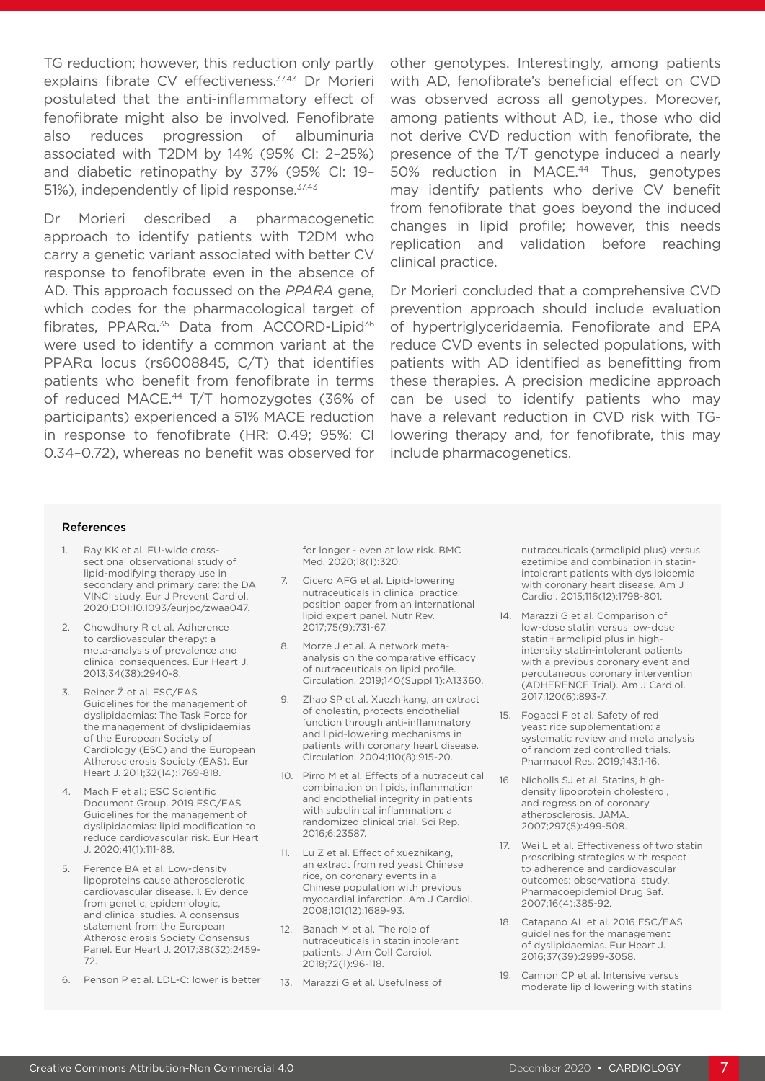TG reduction; however, this reduction only partly explains fibrate CV effectiveness.<sup>37,43</sup> Dr Morieri postulated that the anti-inflammatory effect of fenofibrate might also be involved. Fenofibrate also reduces progression of albuminuria associated with T2DM by 14% (95% CI: 2–25%) and diabetic retinopathy by 37% (95% CI: 19– 51%), independently of lipid response.<sup>37,43</sup>

Dr Morieri described a pharmacogenetic approach to identify patients with T2DM who carry a genetic variant associated with better CV response to fenofibrate even in the absence of AD. This approach focussed on the *PPARA* gene, which codes for the pharmacological target of fibrates, PPARα.<sup>35</sup> Data from ACCORD-Lipid<sup>36</sup> were used to identify a common variant at the PPARα locus (rs6008845, C/T) that identifies patients who benefit from fenofibrate in terms of reduced MACE.<sup>44</sup> T/T homozygotes (36% of participants) experienced a 51% MACE reduction in response to fenofibrate (HR: 0.49; 95%: CI 0.34–0.72), whereas no benefit was observed for other genotypes. Interestingly, among patients with AD, fenofibrate's beneficial effect on CVD was observed across all genotypes. Moreover, among patients without AD, i.e., those who did not derive CVD reduction with fenofibrate, the presence of the T/T genotype induced a nearly 50% reduction in MACE.<sup>44</sup> Thus, genotypes may identify patients who derive CV benefit from fenofibrate that goes beyond the induced changes in lipid profile; however, this needs replication and validation before reaching clinical practice.

Dr Morieri concluded that a comprehensive CVD prevention approach should include evaluation of hypertriglyceridaemia. Fenofibrate and EPA reduce CVD events in selected populations, with patients with AD identified as benefitting from these therapies. A precision medicine approach can be used to identify patients who may have a relevant reduction in CVD risk with TGlowering therapy and, for fenofibrate, this may include pharmacogenetics.

#### References

- 1. Ray KK et al. EU-wide crosssectional observational study of lipid-modifying therapy use in secondary and primary care: the DA VINCI study. Eur J Prevent Cardiol. 2020;DOI:10.1093/eurjpc/zwaa047.
- 2. Chowdhury R et al. Adherence to cardiovascular therapy: a meta-analysis of prevalence and clinical consequences. Eur Heart J. 2013;34(38):2940-8.
- 3. Reiner Ž et al. ESC/EAS Guidelines for the management of dyslipidaemias: The Task Force for the management of dyslipidaemias of the European Society of Cardiology (ESC) and the European Atherosclerosis Society (EAS). Eur Heart J. 2011;32(14):1769-818.
- 4. Mach F et al.; ESC Scientific Document Group. 2019 ESC/EAS Guidelines for the management of dyslipidaemias: lipid modification to reduce cardiovascular risk. Eur Heart J. 2020;41(1):111-88.
- 5. Ference BA et al. Low-density lipoproteins cause atherosclerotic cardiovascular disease. 1. Evidence from genetic, epidemiologic, and clinical studies. A consensus statement from the European Atherosclerosis Society Consensus Panel. Eur Heart J. 2017;38(32):2459- 72.
- 6. Penson P et al. LDL-C: lower is better

for longer - even at low risk. BMC Med. 2020;18(1):320.

- 7. Cicero AFG et al. Lipid-lowering nutraceuticals in clinical practice: position paper from an international lipid expert panel. Nutr Rev. 2017;75(9):731-67.
- 8. Morze J et al. A network metaanalysis on the comparative efficacy of nutraceuticals on lipid profile. Circulation. 2019;140(Suppl 1):A13360.
- 9. Zhao SP et al. Xuezhikang, an extract of cholestin, protects endothelial function through anti-inflammatory and lipid-lowering mechanisms in patients with coronary heart disease. Circulation. 2004;110(8):915-20.
- 10. Pirro M et al. Effects of a nutraceutical combination on lipids, inflammation and endothelial integrity in patients with subclinical inflammation: a randomized clinical trial. Sci Rep. 2016;6:23587.
- 11. Lu Z et al. Effect of xuezhikang, an extract from red yeast Chinese rice, on coronary events in a Chinese population with previous myocardial infarction. Am J Cardiol. 2008;101(12):1689-93.
- 12. Banach M et al. The role of nutraceuticals in statin intolerant patients. J Am Coll Cardiol. 2018;72(1):96-118.
- 13. Marazzi G et al. Usefulness of

nutraceuticals (armolipid plus) versus ezetimibe and combination in statinintolerant patients with dyslipidemia with coronary heart disease. Am J Cardiol. 2015;116(12):1798-801.

- 14. Marazzi G et al. Comparison of low-dose statin versus low-dose statin + armolipid plus in highintensity statin-intolerant patients with a previous coronary event and percutaneous coronary intervention (ADHERENCE Trial). Am J Cardiol. 2017;120(6):893-7.
- 15. Fogacci F et al. Safety of red yeast rice supplementation: a systematic review and meta analysis of randomized controlled trials. Pharmacol Res. 2019;143:1-16.
- 16. Nicholls SJ et al. Statins, highdensity lipoprotein cholesterol, and regression of coronary atherosclerosis. JAMA. 2007;297(5):499-508.
- 17. Wei L et al. Effectiveness of two statin prescribing strategies with respect to adherence and cardiovascular outcomes: observational study. Pharmacoepidemiol Drug Saf. 2007;16(4):385-92.
- 18. Catapano AL et al. 2016 ESC/EAS guidelines for the management of dyslipidaemias. Eur Heart J. 2016;37(39):2999-3058.
- 19. Cannon CP et al. Intensive versus moderate lipid lowering with statins